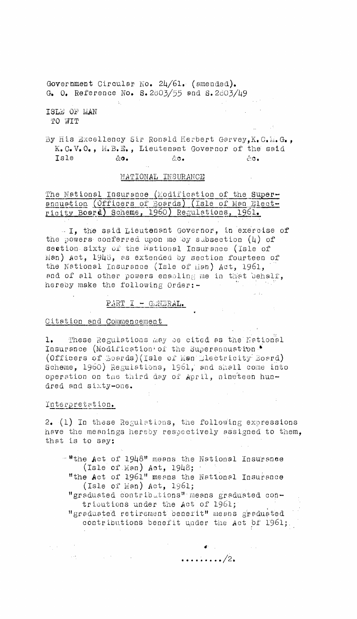Government Circular No. 24/61. (amended). G. O. Reference No. S. 2803/55 and S. 2803/49

ISL:6 OP MAN TO WIT

By His Excellency Sir Ronald Herbert Garvey, K.C. 1.G., K.O.V.O., M.B.E., Lieutenant Governor of the said  $I$ sle ao. Ac. Ac. Ac. Ac.

# NATIONAL INSURANCE

# The National Insurance (Modification of the Superannuation. (Officers of Boards) (Isle of Man Electricity Board) Scheme, 1960) Regulations, 1961.

-I, the said Lieutenant Governor, in exercise of the powers conferred upon me 'by sabsection (4) of section sixty of the National Insurance (Isle of Man) Act, 1946, as extended by section fourteen of the National Insurance (Isle of  $\text{Ian}$ ) Act, 1961, and of all other powers enabling me in that behalf, hereby make the following Order:-

# $PART I - G/NERAL.$

#### Citation and Commencement

 $\mathcal{L}(\mathcal{A})$  , where  $\mathcal{L}(\mathcal{A})$ 

1. These Regulations may ae cited as the National Insurance (Modification of the Superannuation  $\bullet$ (Officers of *Boards*)(Isle of Man-Blectricity Board) Scheme, 1960) Regulations, 1961, and shell come into operation on the third day of April, nine"teen hundred and sixty-one.

#### Interpretation.

 $\sigma_{\rm{eff}}$  and  $\sigma_{\rm{eff}}$ 

2. (1) In these Regulations, the following expressions have the meanings hereby respectively assigned to them. that is to say:

- $-$ <sup>#</sup>the Act of 1948" means the National Insurance (Isle of Man) Act, 1948;
	- "the Act of 1961" means the National Insurance (Isle of Man) Act, 1961;
	- "graduated contributions" means graduated contributions under the Act of 1961;
	- "graduated retirement benefit" means graduated contributions benefit under the Act of 1961;.

 $\cdots \cdots \cdots /2$ .

 $\mathbf{d}^{\mathrm{in}}$  and  $\mathbf{d}^{\mathrm{in}}$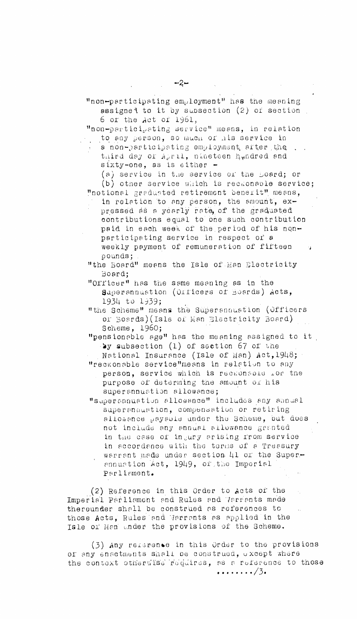"non-participating service" means, in relation to any person, so much of his service in

a non-participating employment arter the  $\Box$ . third day of April, nineteen hundred and sixty-one, as is either -

(a) service in the service of the Loard; or (b) other service which is reckonable service; "notional gradusted retirement benerit" means,

in relation to any person, the amount, expressed as a yearly rate, of the graduated contributions equal to one such contribution paid in each week of the period of his nonparticipating service in respect of a weekly payment of remuneration of fifteen pounds;

"the Board" means the Isle of Man Electricity Board;

"Officer" has the same meaning as in the superannuation (01'ficers of Boards) Acts, 1934 to 1939;

"the Scheme" means the Superannuation (Officers or Boards)(Isle of Man Electricity Board) Scheme, 1960;

"pensionable age" has the meaning assigned to it lay subsection (1) of section 67 of the

. National Insurance (Isle of Man) Act, 19148; "reckonable service"means in relation to any person, service which is recaunsole for the purpose of determing the amount of his

superannuation allowance;

"superannuation allowance" includes any annual superannuation, compensation or retiring allowance payable under the Scheme, but does not include any annual allowance granted in the case of ingury arising from service in accordance with the terms of a Treasury warrant made under section 41 or the Superannuation Act, 1949, of the Imperial Parliament.

(2) Reference in this Order to Acts of the Imperial Parliament and Rules and Varrants made thereunder shall be construed as references to those Acts, Rules and Warrants as applied in the Isle of Man under the provisions of the Scheme.

(3) Any referen'e in this Order to the provisions of any enactments shall be construed, except where the context otherwise requires, as a reference to those  $\cdots \cdots \frac{3}{3}$ .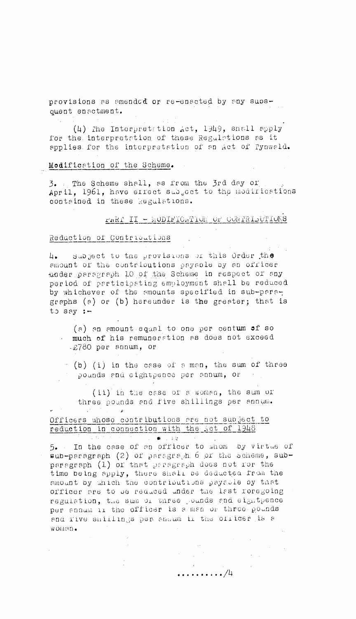provisions as amended or re-enacted by any subsquent enactment.

 $(4)$  The Interpretation Act, 1949, shall apply for the. interpretat ion. of these Regulations as it applies for the interpretation of an Act of Pynwald.

#### Modification of the Scheme.

3. The Scheme shell, as from the 3rd day of April, 1961, have effect subject to the modifications contained in these Regulations.

#### $FAKI$  II – MODIFICATION OF CONTRIDUTIONS

#### Reduction of Contriodtions

subject to the provisions of this Order the  $4.1$ amount of the contributions payable by an officer under paragraph 10 of the Scheme in respect of any period of participating employment shall be reduced by whichever of the amounts specified in sub-paragraphs (a) or (b) hereunder is the greater; that is to say :-

(a) an amount .equal to one per centum af so much of his remuneration as does not exceed -2780 per annum, or

 $($ b) (i) in the case of a man, the sum of three pounds and eightpence per annum, or

(ii) in the case of a-woman, the sum of three pounds and five shillings per annum.

# Officers whose contributions are not subject to reduction in connection with the Act of 1948

→ The Control → ■ 1.00g

 $5.$  In the case of an officer to whom by virtue of  $sub-peragnoph$  (2) of paragraph 6 pr the scheme, subparagraph  $(1)$  of that paragraph does not for the time being apply, there shall be deducted from the amount by which the contributions payable by that officer are to be reduced under the last foregoing regulation, the sum of three pounds and eightpence per annum ii the officer is a man or three pounds end five shillings per showm ii the officer is a w onen.

. . . . . . . . . . /4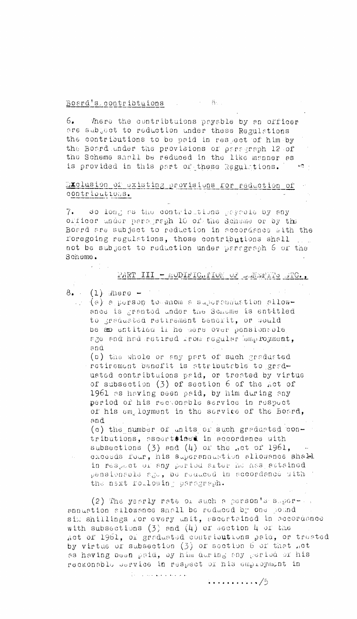# Board's contribtuions and the

 $6.$ There the contribtuions payable by an officer are subgect to reduction under these Regulations. the contributions to be paid in respect of him by the Board under the provisions or paragraph 12 of the Scheme shall be reduced in the like manner as is provided in this part of these Regulations. We

# Exclusion of existing provisions for reduction of contributious.

7. So long as the contributions gageola by any officer under paragraph 10 of the Scheme or by the Board are subject to reduction in accordance with the foregoing regulations, those contributions shall not be subject to reduction under paragraph 6 of the Scheme.

## PART III - MODIFIC. PION OF LENEFITS STC.,

 $8.$  (1) Where  $-$ 

- $\Box$  (a) a person to mnom a supermemention allowance is granted under the Scheme is entitled to graduated retirement benerit, or would be so entitled if he were over pensionable age and had retired from regular employment, and
	- (b) the whole or any part of such graduated retirement benefit is attributable to graduated contribtuions paid, or treated by virtue of subsection (3) of section 6 of the Act of 1961 as having been paid, by him during any period of his rectonable service in respect of his employment in the service of the Board, and

(c) the number of units of such graduated contributions, ascertained in accordance with subsections  $(3)$  and  $(4)$  or the ..ct or 1961, excesds four, his superannustion allowance shald in respect or any period arter he has attained pensionable ago, be reduced in accordance with the next following perograph.

(2) The yearly rate of such a person's super- .. annuation allowance shall be reduced by one pound sim shillings for every unit, ascertained in accordance with subsections  $(3)$  and  $(4)$  or section 4 or the Act of 1961, or graduated contributions paid, or treated by virtue or subsection (3) or section 6 or that not as having boon paid, by him during any period or his reckonable service in respect of his employment in

المواصل المنتقل الأراقي والمنتجل المنتقل التي التي

 $\cdots \cdots \cdots /5$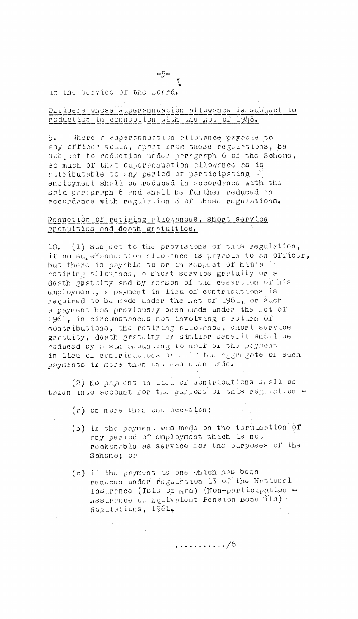$-5$ in the service of the Board.

Officers whose superannuation allowance is subject to reduction in connection with the net of 1948.

9. where a superannuation allowance payable to any officer would, apart from these regulations, be subject to reduction under persgraph 6 of the Scheme, so much of that superannuation allowance as is attributable to any period of participating (2) employment shall be reduced in accordance with the said paragraph 6 and shall be further reduced in accordance with regulation 3 of these regulations.

# Reduction of retiring sllowances, short service gratuities and death gratuities.

10. (1) Subject to the provisions of this regulation, if no superennustion allowance is paypole to an officer, but there is payable to or in respect of him a 14. retiring slloughco, a short service gratuity or a doeth grataity and by resson of the cessation of his employment, a payment in lieu of contributions is required to be made under the .et of 1961, or such a payment has previously been made under the net of 1961, in circumstances not involving a return of contributions, the retiring allovance, short service gratuity, death gratuity or similar penerit shall be reduced by a sum amounting to haif or the payment in lieu or contributions or mailf the aggregate or such payments in more than one has been made.

(2) No payment in lieu of contributions shall be taken into account for the purpose of this regulation -

(a) on more than one occasion; which

- (p) ir the peyment was made on the termination of any period of employment which is not reckonable as service for the purposes of the Scheme; or
- (c) if the payment is one which has been reduced under regulation 13 of the National Insurance (Isle of Man) (Non-participation -Regulations, 1961,  $\mathcal{L}(\mathcal{A})$

 $\ldots \ldots \ldots \mathbin{/}6$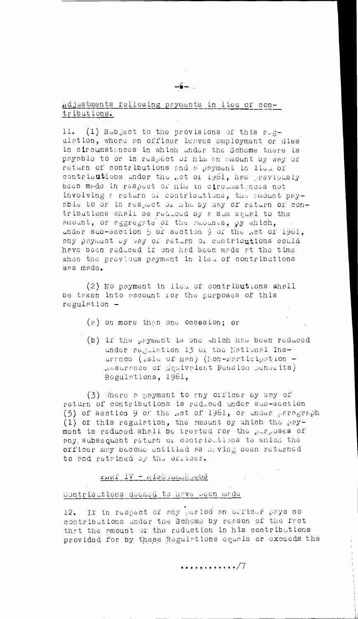11. (1) Subject to the provisions of this rugulation, where an officer leaves employment or dies in circumstances in which under the Scheme there is payable to or in respect of him an amount by way of return of contributions and a payment in lieu of contributions under the get of 1961, has previously been made in respect or him in circumstences not involving a return of contributions, the amount payable to or in respect of him by way of return of contributions shall be reduced by a sum equal to the smount, or aggregate of the smounts, py which, under sub-section 5 or section 9 or the not of 1961, any payment by way of return of contributions could have been reduced if one had been made at the time when the previous payment in lieu of contributions was made.

(2) No payment in lieu of contributions shall be taken into account for the purposes of this  $requlation -$ 

- $(a)$  on more than one occasion; or
- (b) if the payment is one which has been reduced under regulation 13 or the National Insurance (isle of Man) (hon-rarticipation -Resurance of Equivalent Pension Bonsits) Regulations, 1961,

(3) There a payment to any officer by way of return of contributions is reduced under sub-section (5) of section 9 of the .et of 1961, or under persgraph (1) of this regulation, the emount oy which the payment is reduced shall be treated for the purposes of any subsequent return of contributions to which the officer may become entitled as having been returned to and retained by the officer.

 $F_{\text{H}}$   $\mathbb{E} \mathbf{I} \mathbf{V} = \mathbf{n}$   $\mathbf{E} \mathbf{O}$  and  $\mathbf{I} \mathbf{V}$ 

#### Contrioutions deemed to have been made

12. If in respect of any period an orticur pays no contributions under the Scheme by reason of the fact that the amount of the reduction in his contributions provided for by these Regulations equals or exceeds the

. *.* . . <u>.</u> . . . . . . . 7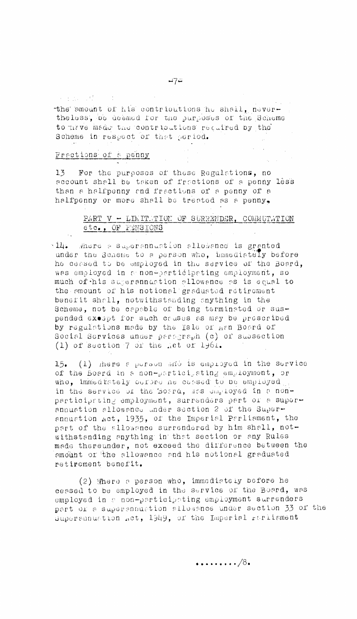医牙部分 计标志

the amount of his contributions he shall, nevertheless, be deemed for the purposes of the Scheme to nave made the contributions recuired by the Scheme in respect of that period.

# Fractions of a penny

For the purposes of these Regulations, no  $13<sub>1</sub>$ account shall be taken of fractions of a penny less than a halfpenny and fractions of a penny of a halfpenny or more shall be treated as a penny,

# PART V - LIMITUTION OF SURRENDER, COMMUTATION etc., OF FENSIONS

Al4. Where a superannuation allowance is granted under the Scheme to a person who, hmmediately before he ceased to be employed in the service of the Board, was employed in a non-participating employment, so much of his superannuation allowance as is equal to the emount of his notional graduated retirement benefit shall, notwithstanding anything in the Scheme, not be capable of being terminated or suspended exospt for such causes as may be prescribed by regulations made by the Isle of man Board of Social Services under paragraph  $(c)$  or subsection  $(1)$  of section  $7$  or the .et of 1961.

15. (1) mere a purson and is employed in the service of the Board in a non-participating employment, or who, immediately cerpre ne cessed to be employed. in the service of the Board, was employed in a nonparticipating employment, surrenders part or a super-<br>annuation allowance under section 2 of the Superannustion Act, 1935, of the Imperial Parliament, the part of the allowance surrendered by him shall, notwithstanding anything in that section or any Rules made thereunder, not exceed the difference between the emount or the allowance and his notional graduated retirement benefit.

(2) Where a person who, immediately before he ceased to be employed in the service of the Board, was employed in a non-participating employment surrenders part or a supersnaustion allogance under section 33 of the dupersunuation act, 1949, of the Imperial rarlisment

 $\cdots \cdots \cdots /8$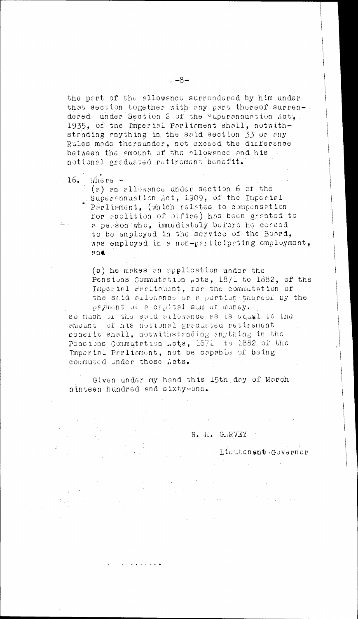the part of the allowance surrendered by him under that section together with any part thereof surrendered under Section 2 of the  $\frac{1}{2}$  uperannuation  $Act_{4}$ . 1935, of the Imperial Parliament shall, notwithstanding anything in, the said section 33 or any Rules made thereunder, not exceed the difference between the amount of the allowance and his notional graduated retirement benefit.

16. Where -

alian<br>Akademia

 $\mathcal{L}^{\text{max}}$ 

 $\sim 10^7$ 

(a) an allowance under section 6 of the Superannuation act, 1909, of the Imperial Parliament, (which relates to compensation for abolition of office) has been granted to a pe.:Son"who, immediately before he ceased to be employed in the service of the Board, was employed in a non-participating employment, and.

(b) he makes an application under the Pensions Commutation .cts, 1871 to 1882, of the Imperial Parliament, for the commutation of the said allowance or a portion thereof by the payment of a capital sum of money.

so mach of the said aflowance as is equal to the amount of his notional graduated retirement. benefit shall, notwithstanding anything in the Pensions Commutation Acts, 1871 to 1882 of the Imperial Parliament, not be capable of being commuted ander those Acts.

Given under my hand this 15th. day of March ninteen hundred and sixty-one.

ستعاد والمتعاط والمتعاد

R. H. G.RVEY

Lieutenant Governor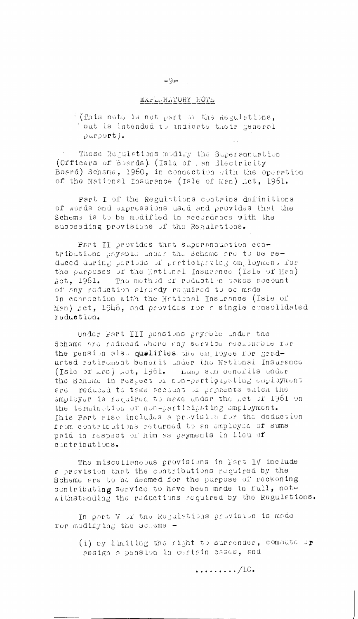#### EXFLANATORY NOTE

 $\frac{1}{2}$  (This note is not part or the Regulations, put is intended to indicate their general  $pur$ port).

These Regulations modify the Superannuation (Officers of Boards). (Isle of , an Blectricity Board) Scheme, 1960, in connection with the operation of the National Insurance (Isle of Man) .ct, 1961.

Part I of the Regulations contains definitions of words and expressions used and provides that the Scheme is to be modified in accordance with the succeeding provisions of the Regulations.

Part II provides that superannuation contributions paysple under the Scheme are to be reduced during periods of participating omployment for the purposes of the Kational Insurance (Isle of Man) The method of reduction takes secount  $\det$ , 1961. of any reduction already required to be made in connection with the National Insurance (Isle of Man) Act, 1948, and provides for a single consolidated reduction.

Under Pert III ponsions payable under the Scheme are reduced where any service recupacite rur the pension also quelifies the employee for graduated retirement benerit under the National Insurance (Isla of man) met, 1961. Liump sim ocnerits under the Schome in respect of non-participeting employment are reduced to take account or payments which the employer is required to make under the met of 1961 on the termination or non-participating employment. This Part also includes a prevision for the deduction from contributions returned to an employee of sums paid in respect of him as payments in lieu of contributions.

The miscellaneous provisions in Part IV include a provision that the contributions required by the Scheme are to be deemed for the purpose of reckoning contributing service to have been made in full, notwithstanding the reductions required by the Regulations.

In part V or the Rogulations provision is made ror modifying the Scheme -

> (i) by limiting the right to surrender, commute or assign a pension in cortain cases, and

- ھوپ

 $\ldots$ , ...../10.